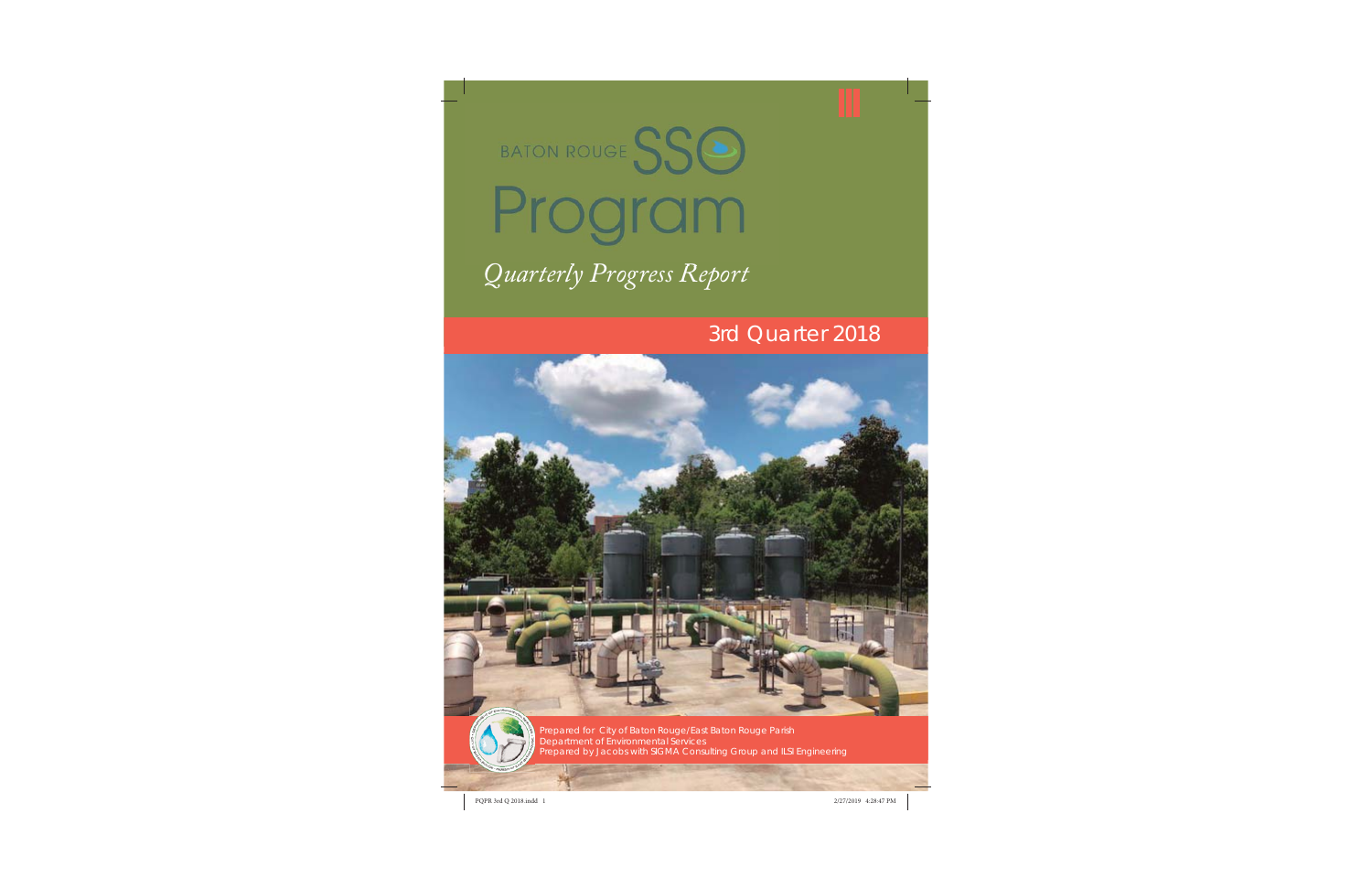

# *Quarterly Progress Report Q l P R*

## 3rd Quarter 2018





Prepared for City of Baton Rouge/East Baton Rouge Parish Department of Environmental Services *Prepared by Jacobs with SIGMA Consulting Group and ILSI Engineering*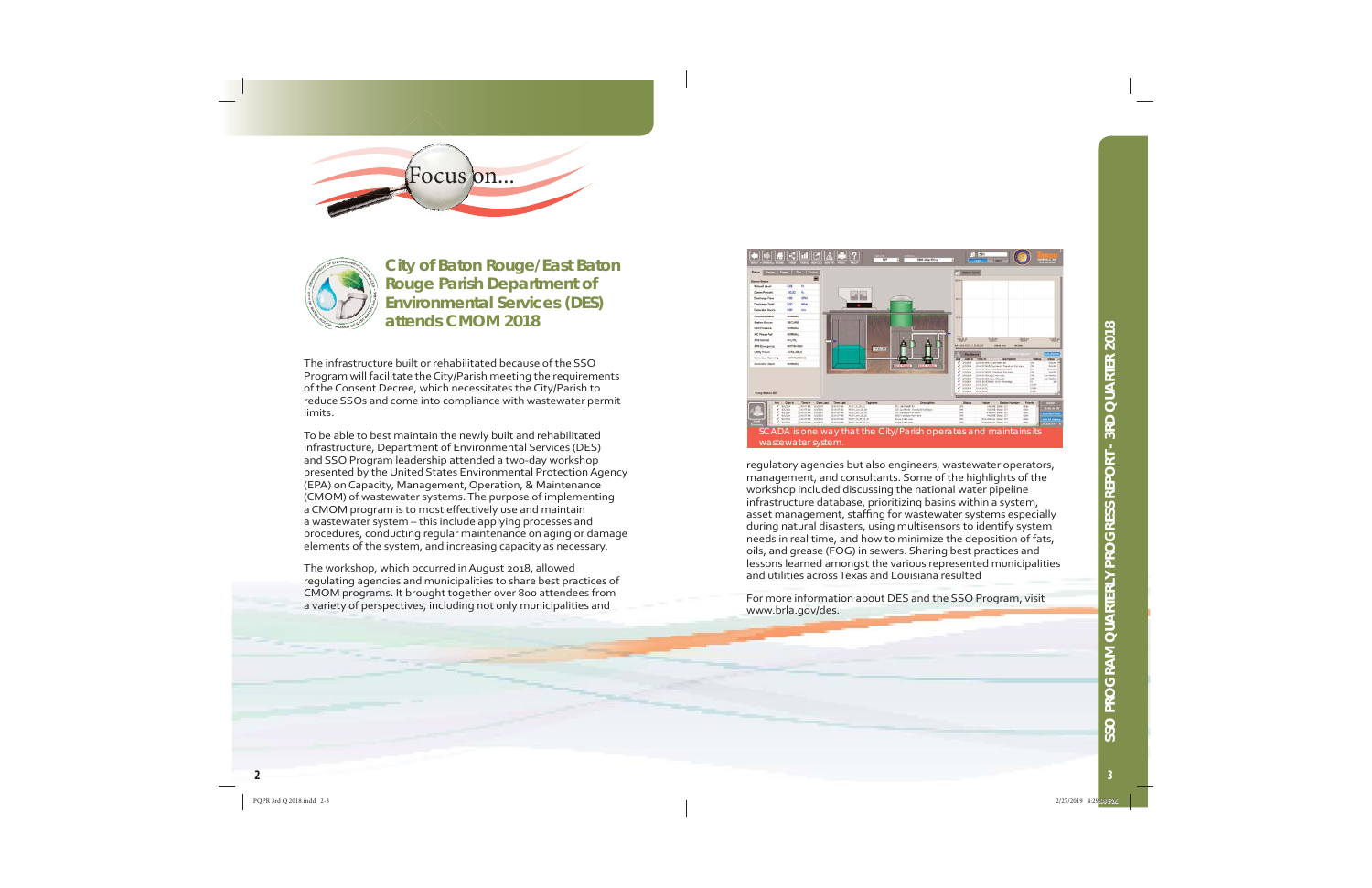



**City of Baton Rouge/East Baton Rouge Parish Department of Environmental Services (DES) attends CMOM 2018**

The infrastructure built or rehabilitated because of the SSO Program will facilitate the City/Parish meeting the requirements of the Consent Decree, which necessitates the City/Parish to reduce SSOs and come into compliance with wastewater permit limits.

To be able to best maintain the newly built and rehabilitated infrastructure, Department of Environmental Services (DES) and SSO Program leadership attended a two-day workshop presented by the United States Environmental Protection Agency (EPA) on Capacity, Management, Operation, & Maintenance (CMOM) of wastewater systems. The purpose of implementing a CMOM program is to most effectively use and maintain a wastewater system – this include applying processes and procedures, conducting regular maintenance on aging or damage elements of the system, and increasing capacity as necessary.

The workshop, which occurred in August 2018, allowed regulating agencies and municipalities to share best practices of CMOM programs. It brought together over 800 attendees from a variety of perspectives, including not only municipalities and



regulatory agencies but also engineers, wastewater operators, management, and consultants. Some of the highlights of the workshop included discussing the national water pipeline infrastructure database, prioritizing basins within a system, asset management, staffing for wastewater systems especially during natural disasters, using multisensors to identify system needs in real time, and how to minimize the deposition of fats, oils, and grease (FOG) in sewers. Sharing best practices and lessons learned amongst the various represented municipalities and utilities across Texas and Louisiana resulted

For more information about DES and the SSO Program, visit www.brla.gov/des.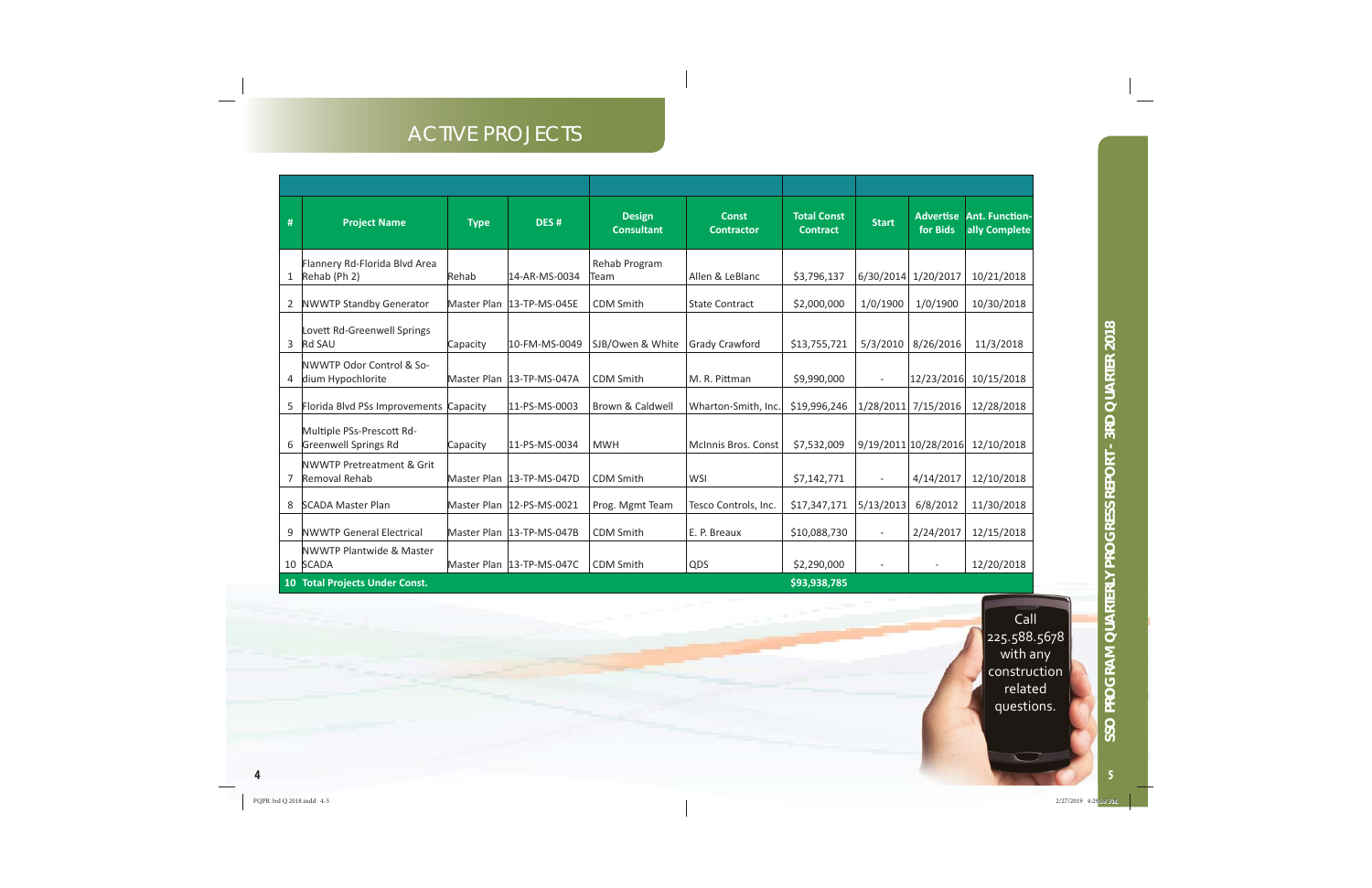### ACTIVE PROJECTS

| # | <b>Project Name</b>                                       | <b>Type</b> | DES <sub>#</sub>            | <b>Design</b><br><b>Consultant</b> | <b>Const</b><br><b>Contractor</b> | <b>Total Const</b><br><b>Contract</b> | <b>Start</b>             | <b>Advertise</b><br>for Bids | <b>Ant. Function-</b><br>ally Complete |
|---|-----------------------------------------------------------|-------------|-----------------------------|------------------------------------|-----------------------------------|---------------------------------------|--------------------------|------------------------------|----------------------------------------|
| 1 | Flannery Rd-Florida Blvd Area<br>Rehab (Ph 2)             | Rehab       | 14-AR-MS-0034               | Rehab Program<br>Team              | Allen & LeBlanc                   | \$3,796,137                           | 6/30/2014 1/20/2017      |                              | 10/21/2018                             |
| 2 | NWWTP Standby Generator                                   |             | Master Plan  13-TP-MS-045E  | <b>CDM Smith</b>                   | <b>State Contract</b>             | \$2,000,000                           | 1/0/1900                 | 1/0/1900                     | 10/30/2018                             |
| 3 | Lovett Rd-Greenwell Springs<br>Rd SAU                     | Capacity    | 10-FM-MS-0049               | SJB/Owen & White                   | Grady Crawford                    | \$13,755,721                          | 5/3/2010                 | 8/26/2016                    | 11/3/2018                              |
| 4 | <b>INWWTP Odor Control &amp; So-</b><br>dium Hypochlorite |             | Master Plan  13-TP-MS-047A  | <b>CDM Smith</b>                   | M. R. Pittman                     | \$9,990,000                           | $\overline{\phantom{a}}$ | 12/23/2016                   | 10/15/2018                             |
| 5 | Florida Blvd PSs Improvements Capacity                    |             | 11-PS-MS-0003               | Brown & Caldwell                   | Wharton-Smith, Inc.               | \$19,996,246                          | 1/28/2011                | 7/15/2016                    | 12/28/2018                             |
| 6 | Multiple PSs-Prescott Rd-<br>Greenwell Springs Rd         | Capacity    | 11-PS-MS-0034               | <b>MWH</b>                         | <b>McInnis Bros. Const</b>        | \$7,532,009                           |                          | 9/19/2011 10/28/2016         | 12/10/2018                             |
| 7 | NWWTP Pretreatment & Grit<br>Removal Rehab                |             | Master Plan   13-TP-MS-047D | <b>CDM Smith</b>                   | <b>WSI</b>                        | \$7,142,771                           | $\overline{\phantom{a}}$ | 4/14/2017                    | 12/10/2018                             |
| 8 | <b>SCADA Master Plan</b>                                  |             | Master Plan  12-PS-MS-0021  | Prog. Mgmt Team                    | Tesco Controls, Inc.              | \$17,347,171                          | 5/13/2013                | 6/8/2012                     | 11/30/2018                             |
| 9 | <b>NWWTP General Electrical</b>                           |             | Master Plan   13-TP-MS-047B | <b>CDM Smith</b>                   | E. P. Breaux                      | \$10,088,730                          | $\overline{\phantom{a}}$ | 2/24/2017                    | 12/15/2018                             |
|   | <b>INWWTP Plantwide &amp; Master</b><br>10 SCADA          |             | Master Plan   13-TP-MS-047C | <b>CDM Smith</b>                   | QDS                               | \$2,290,000                           | $\overline{\phantom{a}}$ |                              | 12/20/2018                             |
|   | 10 Total Projects Under Const.                            |             |                             |                                    |                                   | \$93,938,785                          |                          |                              |                                        |

 $\overline{\phantom{0}}$ 

**4**

**SSO PROGRAM QUARTERLY PROGRESS REPORT - 3RD QUARTER 2018**

SSO PROGRAM QUARTERLY PROGRESS REPORT - 3RD QUARTER 2018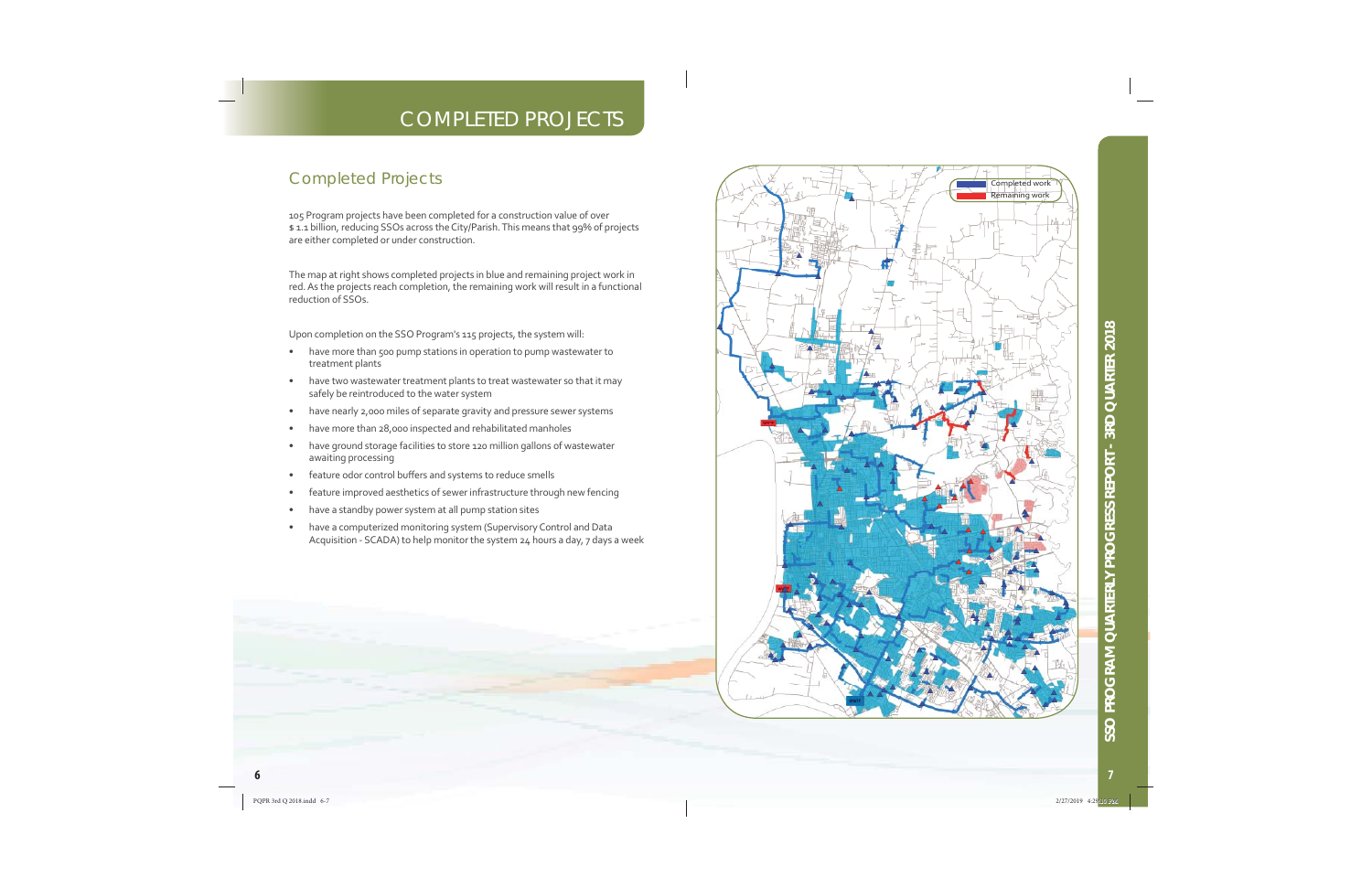### **COMPLETED PROJECTS**

#### **Completed Projects**

105 Program projects have been completed for a construction value of over \$1.1 billion, reducing SSOs across the City/Parish. This means that 99% of projects are either completed or under construction.

The map at right shows completed projects in blue and remaining project work in red. As the projects reach completion, the remaining work will result in a functional reduction of SSOs.

Upon completion on the SSO Program's 115 projects, the system will:

- have more than 500 pump stations in operation to pump wastewater to  $\bullet$ treatment plants
- have two wastewater treatment plants to treat wastewater so that it may  $\bullet$ safely be reintroduced to the water system
- have nearly 2,000 miles of separate gravity and pressure sewer systems
- have more than 28,000 inspected and rehabilitated manholes
- have ground storage facilities to store 120 million gallons of wastewater  $\bullet$ awaiting processing
- feature odor control buffers and systems to reduce smells  $\bullet$
- feature improved aesthetics of sewer infrastructure through new fencing
- have a standby power system at all pump station sites
- have a computerized monitoring system (Supervisory Control and Data Acquisition - SCADA) to help monitor the system 24 hours a day, 7 days a week